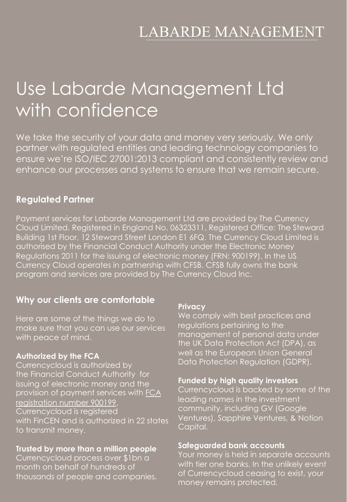## **LABARDE MANAGEMENT**

# Use Labarde Management Ltd with confidence

We take the security of your data and money very seriously. We only partner with regulated entities and leading technology companies to ensure we're ISO/IEC 27001:2013 compliant and consistently review and enhance our processes and systems to ensure that we remain secure.

## **Regulated Partner**

Payment services for Labarde Management Ltd are provided by The Currency Cloud Limited. Registered in England No. 06323311. Registered Office: The Steward Building 1st Floor, 12 Steward Street London E1 6FQ. The Currency Cloud Limited is authorised by the Financial Conduct Authority under the Electronic Money Regulations 2011 for the issuing of electronic money (FRN: 900199). In the US Currency Cloud operates in partnership with CFSB. CFSB fully owns the bank program and services are provided by The Currency Cloud Inc.

## **Why our clients are comfortable**

Here are some of the things we do to make sure that you can use our services with peace of mind.

#### **Authorized by the FCA**

Currencycloud is authorized by the Financial Conduct Authority for issuing of electronic money and the [provision of payment services with](https://register.fca.org.uk/ShPo_FirmDetailsPage%3Fid=001b000000m6y0WAAQ) FCA registration number 900199. Currencycloud is registered with FinCEN and is authorized in 22 states to transmit money.

#### **Trusted by more than a million people**

Currencycloud process over \$1bn a month on behalf of hundreds of thousands of people and companies.

#### **Privacy**

We comply with best practices and regulations pertaining to the management of personal data under the UK Data Protection Act (DPA), as well as the European Union General Data Protection Regulation (GDPR).

#### **Funded by high quality investors**

Currencycloud is backed by some of the leading names in the investment community, including GV (Google Ventures), Sapphire Ventures, & Notion Capital.

#### **Safeguarded bank accounts**

Your money is held in separate accounts with tier one banks. In the unlikely event of Currencycloud ceasing to exist, your money remains protected.